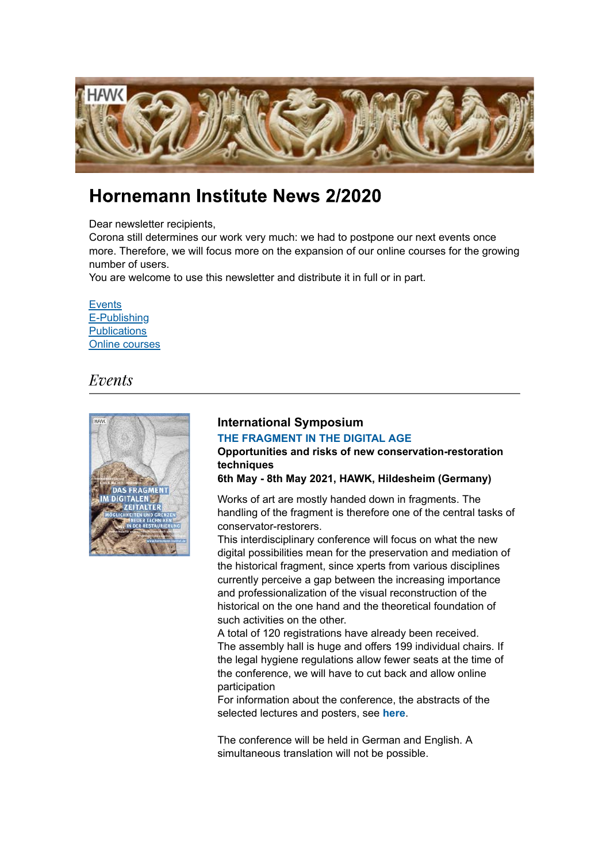

# Hornemann Institute News 2/2020

Dear newsletter recipients.

Corona still determines our work very much: we had to postpone our next events once more. Therefore, we will focus more on the expansion of our online courses for the growing number of users.

You are welcome to use this newsletter and distribute it in full or in part.

**Events** E-Publishing **Publications** Online courses

## *Events*



### **International Symposium [THE FRAGMENT IN THE DIGITAL AGE](https://www.hornemann-institut.de/english/conference_fragment_digital_age.php)**

**Opportunities and risks of new conservation-restoration techniques**

**6th May - 8th May 2021, HAWK, Hildesheim (Germany)**

Works of art are mostly handed down in fragments. The handling of the fragment is therefore one of the central tasks of conservator-restorers.

This interdisciplinary conference will focus on what the new digital possibilities mean for the preservation and mediation of the historical fragment, since xperts from various disciplines currently perceive a gap between the increasing importance and professionalization of the visual reconstruction of the historical on the one hand and the theoretical foundation of such activities on the other.

A total of 120 registrations have already been received. The assembly hall is huge and offers 199 individual chairs. If the legal hygiene regulations allow fewer seats at the time of the conference, we will have to cut back and allow online participation

For information about the conference, the abstracts of the selected lectures and posters, see **[here](https://www.hornemann-institut.de/english/conference_fragment_digital_age.php)**.

The conference will be held in German and English. A simultaneous translation will not be possible.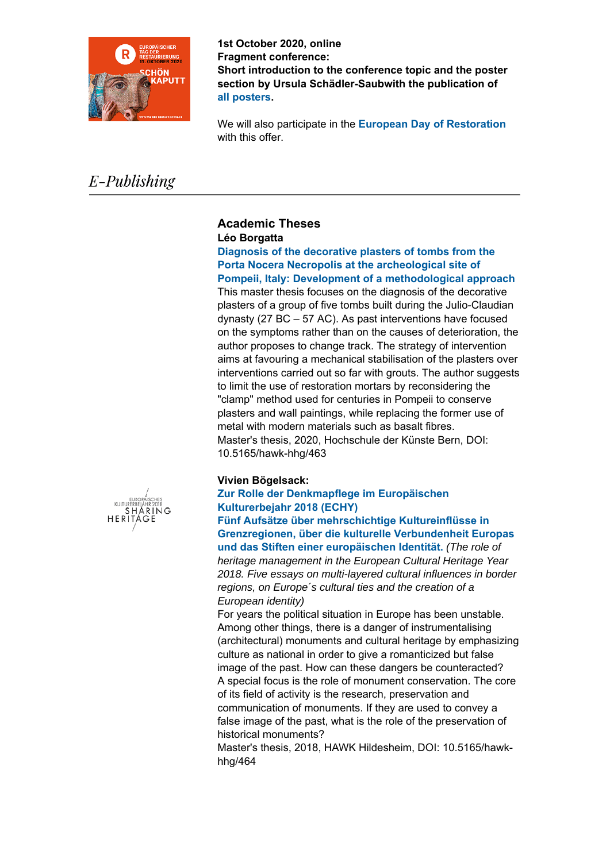

**1st October 2020, online Fragment conference: Short introduction to the conference topic and the poster section by Ursula Schädler-Saubwith the publication of [all posters](https://www.hornemann-institut.de/english/postersektion.php).**

We will also participate in the **European Day of Restoration** with this offer.

# E-Publishing

## **Academic Theses Léo Borgatta**

**Diagnosis of the decorative plasters of tombs from the Porta Nocera Necropolis at the archeological site of [Pompeii, Italy: Development of a methodological](https://www.hornemann-institut.de/english/epubl_hochschularbeiten3470.php) approach**

This master thesis focuses on the diagnosis of the decorative plasters of a group of five tombs built during the Julio-Claudian dynasty (27 BC – 57 AC). As past interventions have focused on the symptoms rather than on the causes of deterioration, the author proposes to change track. The strategy of intervention aims at favouring a mechanical stabilisation of the plasters over interventions carried out so far with grouts. The author suggests to limit the use of restoration mortars by reconsidering the "clamp" method used for centuries in Pompeii to conserve plasters and wall paintings, while replacing the former use of metal with modern materials such as basalt fibres. Master's thesis, 2020, Hochschule der Künste Bern, DOI: 10.5165/hawk-hhg/463

## **Vivien Bögelsack:**

### **Zur Rolle der Denkmapflege im Europäischen Kulturerbejahr 2018 (ECHY)**

**Fünf Aufsätze über mehrschichtige Kultureinflüsse in [Grenzregionen, über die kulturelle Verbundenheit Europas](https://www.hornemann-institut.de/english/epubl_ha_ausgabe.php?haid=3448&ha_sort=au&l=u&th=B&spra=deutsch&sort=ea_name&ref=/english/epubl_hs_arbeiten.php) und das Stiften einer europäischen Identität.** *(The role of heritage management in the European Cultural Heritage Year 2018. Five essays on multi-layered cultural influences in border regions, on Europe´s cultural ties and the creation of a European identity)*

For years the political situation in Europe has been unstable. Among other things, there is a danger of instrumentalising (architectural) monuments and cultural heritage by emphasizing culture as national in order to give a romanticized but false image of the past. How can these dangers be counteracted? A special focus is the role of monument conservation. The core of its field of activity is the research, preservation and communication of monuments. If they are used to convey a false image of the past, what is the role of the preservation of historical monuments?

Master's thesis, 2018, HAWK Hildesheim, DOI: 10.5165/hawkhhg/464

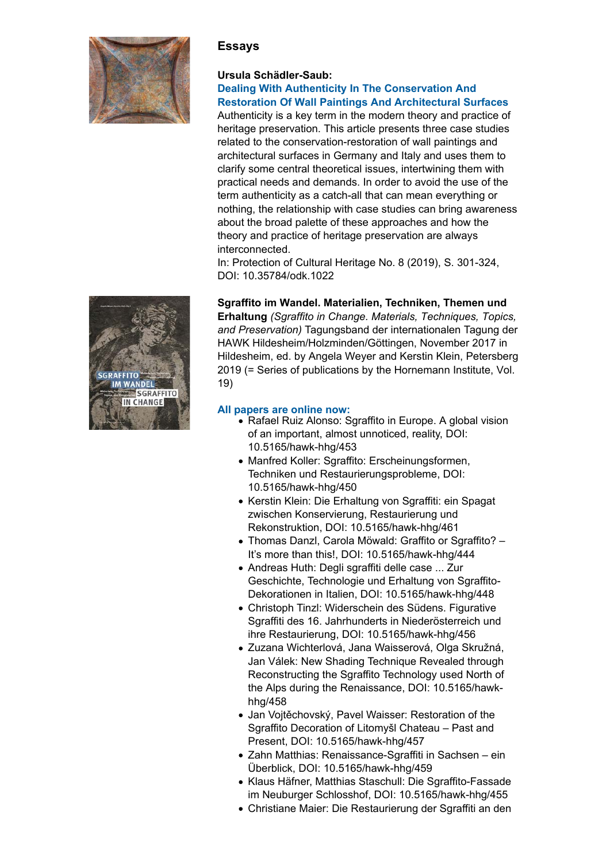

## **Essays**

## **Ursula Schädler-Saub:**

#### **[Dealing With Authenticity In The Conservation And](https://www.hornemann-institut.de/german/epubl_aufsaetze226.php) Restoration Of Wall Paintings And Architectural Surfaces**

Authenticity is a key term in the modern theory and practice of heritage preservation. This article presents three case studies related to the conservation-restoration of wall paintings and architectural surfaces in Germany and Italy and uses them to clarify some central theoretical issues, intertwining them with practical needs and demands. In order to avoid the use of the term authenticity as a catch-all that can mean everything or nothing, the relationship with case studies can bring awareness about the broad palette of these approaches and how the theory and practice of heritage preservation are always interconnected.

In: Protection of Cultural Heritage No. 8 (2019), S. 301-324, DOI: 10.35784/odk.1022

## **Sgraffito im Wandel. Materialien, Techniken, Themen und**

**Erhaltung** *(Sgraffito in Change. Materials, Techniques, Topics, and Preservation)* Tagungsband der internationalen Tagung der HAWK Hildesheim/Holzminden/Göttingen, November 2017 in Hildesheim, ed. by Angela Weyer and Kerstin Klein, Petersberg 2019 (= Series of publications by the Hornemann Institute, Vol. 19)

#### **[All papers are online now:](https://www.hornemann-institut.de/german/epubl_tagungen43.php)**

- Rafael Ruiz Alonso: Sgraffito in Europe. A global vision of an important, almost unnoticed, reality, DOI: 10.5165/hawk-hhg/453
- Manfred Koller: Sgraffito: Erscheinungsformen, Techniken und Restaurierungsprobleme, DOI: 10.5165/hawk-hhg/450
- Kerstin Klein: Die Erhaltung von Sgraffiti: ein Spagat zwischen Konservierung, Restaurierung und Rekonstruktion, DOI: 10.5165/hawk-hhg/461
- Thomas Danzl, Carola Möwald: Graffito or Sgraffito? It's more than this!, DOI: 10.5165/hawk-hhg/444
- Andreas Huth: Degli sgraffiti delle case ... Zur Geschichte, Technologie und Erhaltung von Sgraffito-Dekorationen in Italien, DOI: 10.5165/hawk-hhg/448
- Christoph Tinzl: Widerschein des Südens. Figurative Sgraffiti des 16. Jahrhunderts in Niederösterreich und ihre Restaurierung, DOI: 10.5165/hawk-hhg/456
- Zuzana Wichterlová, Jana Waisserová, Olga Skružná, Jan Válek: New Shading Technique Revealed through Reconstructing the Sgraffito Technology used North of the Alps during the Renaissance, DOI: 10.5165/hawkhhg/458
- Jan Vojtěchovský, Pavel Waisser: Restoration of the Sgraffito Decoration of Litomyšl Chateau – Past and Present, DOI: 10.5165/hawk-hhg/457
- Zahn Matthias: Renaissance-Sgraffiti in Sachsen ein Überblick, DOI: 10.5165/hawk-hhg/459
- Klaus Häfner, Matthias Staschull: Die Sgraffito-Fassade im Neuburger Schlosshof, DOI: 10.5165/hawk-hhg/455
- Christiane Maier: Die Restaurierung der Sgraffiti an den

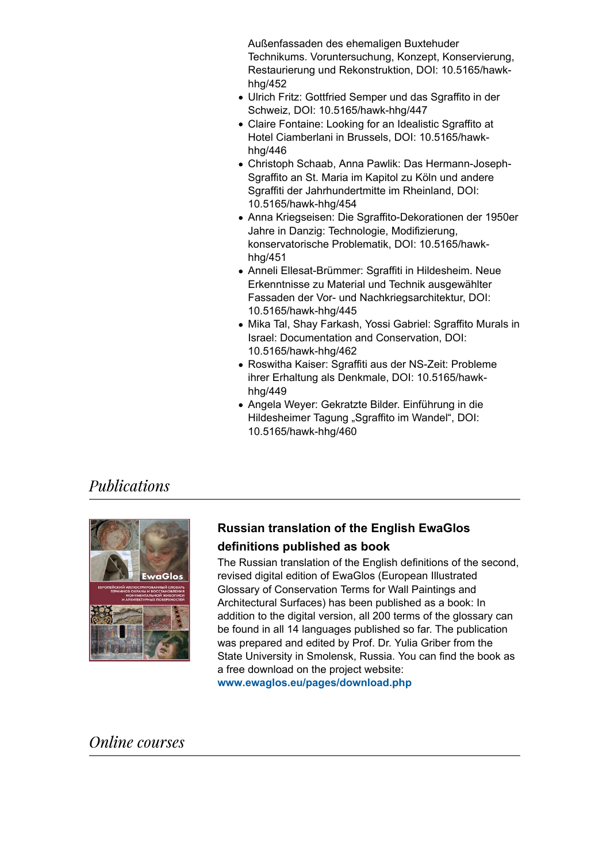Außenfassaden des ehemaligen Buxtehuder Technikums. Voruntersuchung, Konzept, Konservierung, Restaurierung und Rekonstruktion, DOI: 10.5165/hawkhhg/452

- Ulrich Fritz: Gottfried Semper und das Sgraffito in der Schweiz, DOI: 10.5165/hawk-hhg/447
- Claire Fontaine: Looking for an Idealistic Sgraffito at Hotel Ciamberlani in Brussels, DOI: 10.5165/hawkhhg/446
- Christoph Schaab, Anna Pawlik: Das Hermann-Joseph-Sgraffito an St. Maria im Kapitol zu Köln und andere Sgraffiti der Jahrhundertmitte im Rheinland, DOI: 10.5165/hawk-hhg/454
- Anna Kriegseisen: Die Sgraffito-Dekorationen der 1950er Jahre in Danzig: Technologie, Modifizierung, konservatorische Problematik, DOI: 10.5165/hawkhhg/451
- Anneli Ellesat-Brümmer: Sgraffiti in Hildesheim. Neue Erkenntnisse zu Material und Technik ausgewählter Fassaden der Vor- und Nachkriegsarchitektur, DOI: 10.5165/hawk-hhg/445
- Mika Tal, Shay Farkash, Yossi Gabriel: Sgraffito Murals in Israel: Documentation and Conservation, DOI: 10.5165/hawk-hhg/462
- Roswitha Kaiser: Sgraffiti aus der NS-Zeit: Probleme ihrer Erhaltung als Denkmale, DOI: 10.5165/hawkhhg/449
- Angela Weyer: Gekratzte Bilder. Einführung in die Hildesheimer Tagung "Sgraffito im Wandel", DOI: 10.5165/hawk-hhg/460

## *Publications*



## **Russian translation of the English EwaGlos definitions published as book**

The Russian translation of the English definitions of the second, revised digital edition of EwaGlos (European Illustrated Glossary of Conservation Terms for Wall Paintings and Architectural Surfaces) has been published as a book: In addition to the digital version, all 200 terms of the glossary can be found in all 14 languages published so far. The publication was prepared and edited by Prof. Dr. Yulia Griber from the State University in Smolensk, Russia. You can find the book as a free download on the project website:

**<www.ewaglos.eu/pages/download.php>**

**Online** courses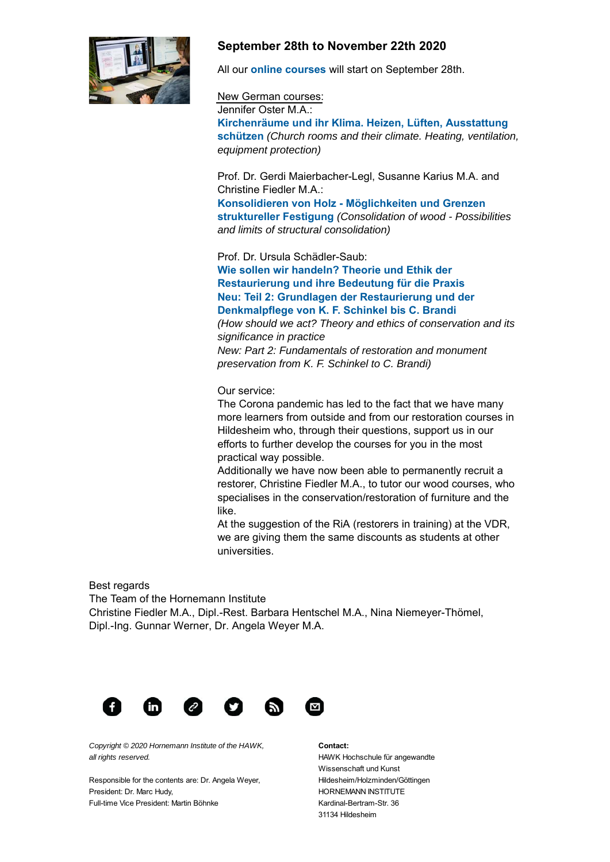

## **September 28th to November 22th 2020**

All our **[online courses](https://www.hornemann-institut.de/german/fortbildung.php)** will start on September 28th.

#### New German courses:

Jennifer Oster M.A.: **Kirchenräume und ihr Klima. Heizen, Lüften, Ausstattung schützen** *(Church rooms and their climate. Heating, ventilation, equipment protection)*

Prof. Dr. Gerdi Maierbacher-Legl, Susanne Karius M.A. and Christine Fiedler M.A.:

**Konsolidieren von Holz - Möglichkeiten und Grenzen struktureller Festigung** *(Consolidation of wood - Possibilities and limits of structural consolidation)*

Prof. Dr. Ursula Schädler-Saub:

**Wie sollen wir handeln? Theorie und Ethik der Restaurierung und ihre Bedeutung für die Praxis Neu: Teil 2: Grundlagen der Restaurierung und der Denkmalpflege von K. F. Schinkel bis C. Brandi**

*(How should we act? Theory and ethics of conservation and its significance in practice New: Part 2: Fundamentals of restoration and monument*

*preservation from K. F. Schinkel to C. Brandi)*

#### Our service:

The Corona pandemic has led to the fact that we have many more learners from outside and from our restoration courses in Hildesheim who, through their questions, support us in our efforts to further develop the courses for you in the most practical way possible.

Additionally we have now been able to permanently recruit a restorer, Christine Fiedler M.A., to tutor our wood courses, who specialises in the conservation/restoration of furniture and the like.

At the suggestion of the RiA (restorers in training) at the VDR, we are giving them the same discounts as students at other universities.

Best regards

The Team of the Hornemann Institute Christine Fiedler M.A., Dipl.-Rest. Barbara Hentschel M.A., Nina Niemeyer-Thömel, Dipl.-Ing. Gunnar Werner, Dr. Angela Weyer M.A.



*Copyright © 2020 Hornemann Institute of the HAWK, all rights reserved.*

Responsible for the contents are: Dr. Angela Weyer, President: Dr. Marc Hudy, Full-time Vice President: Martin Böhnke

**Contact:**

HAWK Hochschule für angewandte Wissenschaft und Kunst Hildesheim/Holzminden/Göttingen HORNEMANN INSTITUTE Kardinal-Bertram-Str. 36 31134 Hildesheim